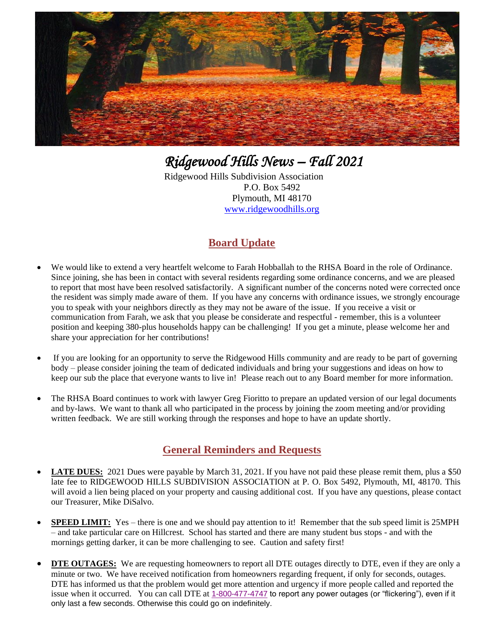

*Ridgewood Hills News – Fall 2021* 

Ridgewood Hills Subdivision Association P.O. Box 5492 Plymouth, MI 48170 [www.ridgewoodhills.org](http://www.ridgewoodhills.org/)

## **Board Update**

- We would like to extend a very heartfelt welcome to Farah Hobballah to the RHSA Board in the role of Ordinance. Since joining, she has been in contact with several residents regarding some ordinance concerns, and we are pleased to report that most have been resolved satisfactorily. A significant number of the concerns noted were corrected once the resident was simply made aware of them. If you have any concerns with ordinance issues, we strongly encourage you to speak with your neighbors directly as they may not be aware of the issue. If you receive a visit or communication from Farah, we ask that you please be considerate and respectful - remember, this is a volunteer position and keeping 380-plus households happy can be challenging! If you get a minute, please welcome her and share your appreciation for her contributions!
- If you are looking for an opportunity to serve the Ridgewood Hills community and are ready to be part of governing body – please consider joining the team of dedicated individuals and bring your suggestions and ideas on how to keep our sub the place that everyone wants to live in! Please reach out to any Board member for more information.
- The RHSA Board continues to work with lawyer Greg Fioritto to prepare an updated version of our legal documents and by-laws. We want to thank all who participated in the process by joining the zoom meeting and/or providing written feedback. We are still working through the responses and hope to have an update shortly.

### **General Reminders and Requests**

- **LATE DUES:** 2021 Dues were payable by March 31, 2021. If you have not paid these please remit them, plus a \$50 late fee to RIDGEWOOD HILLS SUBDIVISION ASSOCIATION at P. O. Box 5492, Plymouth, MI, 48170. This will avoid a lien being placed on your property and causing additional cost. If you have any questions, please contact our Treasurer, Mike DiSalvo.
- **SPEED LIMIT:** Yes there is one and we should pay attention to it! Remember that the sub speed limit is 25MPH – and take particular care on Hillcrest. School has started and there are many student bus stops - and with the mornings getting darker, it can be more challenging to see. Caution and safety first!
- **DTE OUTAGES:** We are requesting homeowners to report all DTE outages directly to DTE, even if they are only a minute or two. We have received notification from homeowners regarding frequent, if only for seconds, outages. DTE has informed us that the problem would get more attention and urgency if more people called and reported the issue when it occurred. You can call DTE at 1-800-477-4747 to report any power outages (or "flickering"), even if it only last a few seconds. Otherwise this could go on indefinitely.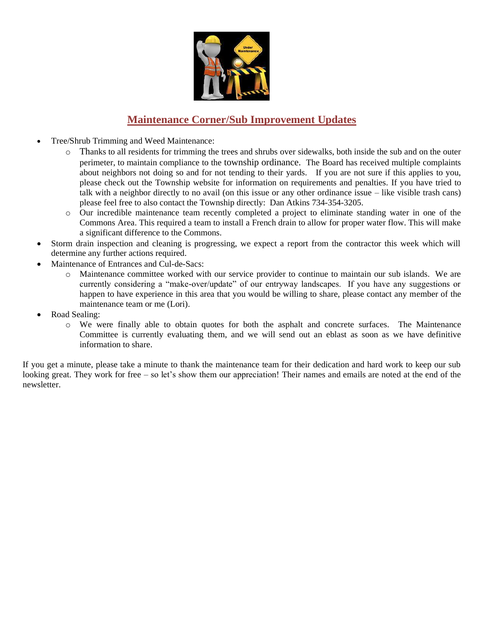

## **Maintenance Corner/Sub Improvement Updates**

- Tree/Shrub Trimming and Weed Maintenance:
	- o Thanks to all residents for trimming the trees and shrubs over sidewalks, both inside the sub and on the outer perimeter, to maintain compliance to the township ordinance. The Board has received multiple complaints about neighbors not doing so and for not tending to their yards. If you are not sure if this applies to you, please check out the Township website for information on requirements and penalties. If you have tried to talk with a neighbor directly to no avail (on this issue or any other ordinance issue – like visible trash cans) please feel free to also contact the Township directly: Dan Atkins 734-354-3205.
	- o Our incredible maintenance team recently completed a project to eliminate standing water in one of the Commons Area. This required a team to install a French drain to allow for proper water flow. This will make a significant difference to the Commons.
- Storm drain inspection and cleaning is progressing, we expect a report from the contractor this week which will determine any further actions required.
- Maintenance of Entrances and Cul-de-Sacs:
	- o Maintenance committee worked with our service provider to continue to maintain our sub islands. We are currently considering a "make-over/update" of our entryway landscapes. If you have any suggestions or happen to have experience in this area that you would be willing to share, please contact any member of the maintenance team or me (Lori).
- Road Sealing:
	- o We were finally able to obtain quotes for both the asphalt and concrete surfaces. The Maintenance Committee is currently evaluating them, and we will send out an eblast as soon as we have definitive information to share.

If you get a minute, please take a minute to thank the maintenance team for their dedication and hard work to keep our sub looking great. They work for free – so let's show them our appreciation! Their names and emails are noted at the end of the newsletter.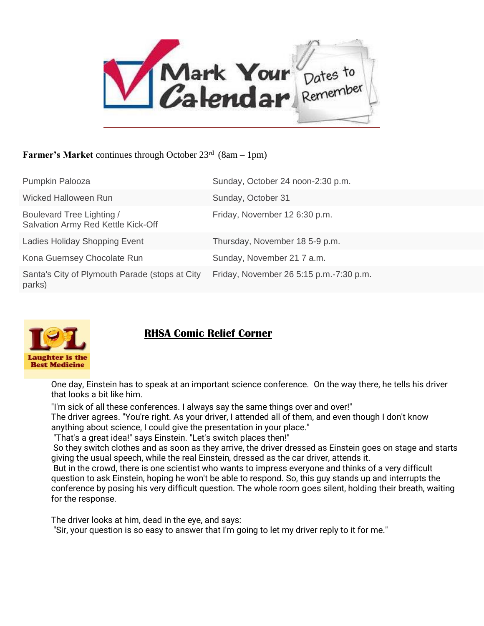

#### Farmer's Market continues through October 23<sup>rd</sup> (8am - 1pm)

| Pumpkin Palooza                                                 | Sunday, October 24 noon-2:30 p.m.       |
|-----------------------------------------------------------------|-----------------------------------------|
| Wicked Halloween Run                                            | Sunday, October 31                      |
| Boulevard Tree Lighting /<br>Salvation Army Red Kettle Kick-Off | Friday, November 12 6:30 p.m.           |
| Ladies Holiday Shopping Event                                   | Thursday, November 18 5-9 p.m.          |
| Kona Guernsey Chocolate Run                                     | Sunday, November 21 7 a.m.              |
| Santa's City of Plymouth Parade (stops at City<br>parks)        | Friday, November 26 5:15 p.m.-7:30 p.m. |



## **RHSA Comic Relief Corner**

One day, Einstein has to speak at an important science conference. On the way there, he tells his driver that looks a bit like him.

"I'm sick of all these conferences. I always say the same things over and over!"

The driver agrees. "You're right. As your driver, I attended all of them, and even though I don't know anything about science, I could give the presentation in your place."

"That's a great idea!" says Einstein. "Let's switch places then!"

So they switch clothes and as soon as they arrive, the driver dressed as Einstein goes on stage and starts giving the usual speech, while the real Einstein, dressed as the car driver, attends it.

But in the crowd, there is one scientist who wants to impress everyone and thinks of a very difficult question to ask Einstein, hoping he won't be able to respond. So, this guy stands up and interrupts the conference by posing his very difficult question. The whole room goes silent, holding their breath, waiting for the response.

The driver looks at him, dead in the eye, and says:

"Sir, your question is so easy to answer that I'm going to let my driver reply to it for me."